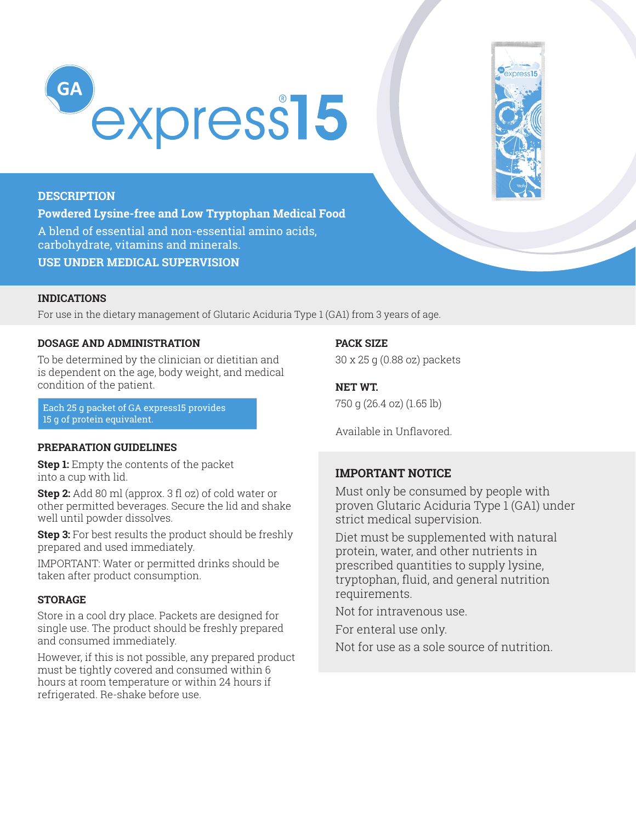



# **DESCRIPTION**

**Powdered Lysine-free and Low Tryptophan Medical Food**  A blend of essential and non-essential amino acids, carbohydrate, vitamins and minerals. **USE UNDER MEDICAL SUPERVISION**

### **INDICATIONS**

For use in the dietary management of Glutaric Aciduria Type 1 (GA1) from 3 years of age.

### **DOSAGE AND ADMINISTRATION**

To be determined by the clinician or dietitian and is dependent on the age, body weight, and medical condition of the patient.

Each 25 g packet of GA express15 provides 15 g of protein equivalent.

### **PREPARATION GUIDELINES**

**Step 1:** Empty the contents of the packet into a cup with lid.

**Step 2:** Add 80 ml (approx. 3 fl oz) of cold water or other permitted beverages. Secure the lid and shake well until powder dissolves.

**Step 3:** For best results the product should be freshly prepared and used immediately.

IMPORTANT: Water or permitted drinks should be taken after product consumption.

# **STORAGE**

Store in a cool dry place. Packets are designed for single use. The product should be freshly prepared and consumed immediately.

However, if this is not possible, any prepared product must be tightly covered and consumed within 6 hours at room temperature or within 24 hours if refrigerated. Re-shake before use.

**PACK SIZE** 

30 x 25 g (0.88 oz) packets

# **NET WT.**

750 g (26.4 oz) (1.65 lb)

Available in Unflavored.

### **IMPORTANT NOTICE**

Must only be consumed by people with proven Glutaric Aciduria Type 1 (GA1) under strict medical supervision.

Diet must be supplemented with natural protein, water, and other nutrients in prescribed quantities to supply lysine, tryptophan, fluid, and general nutrition requirements.

Not for intravenous use.

For enteral use only.

Not for use as a sole source of nutrition.